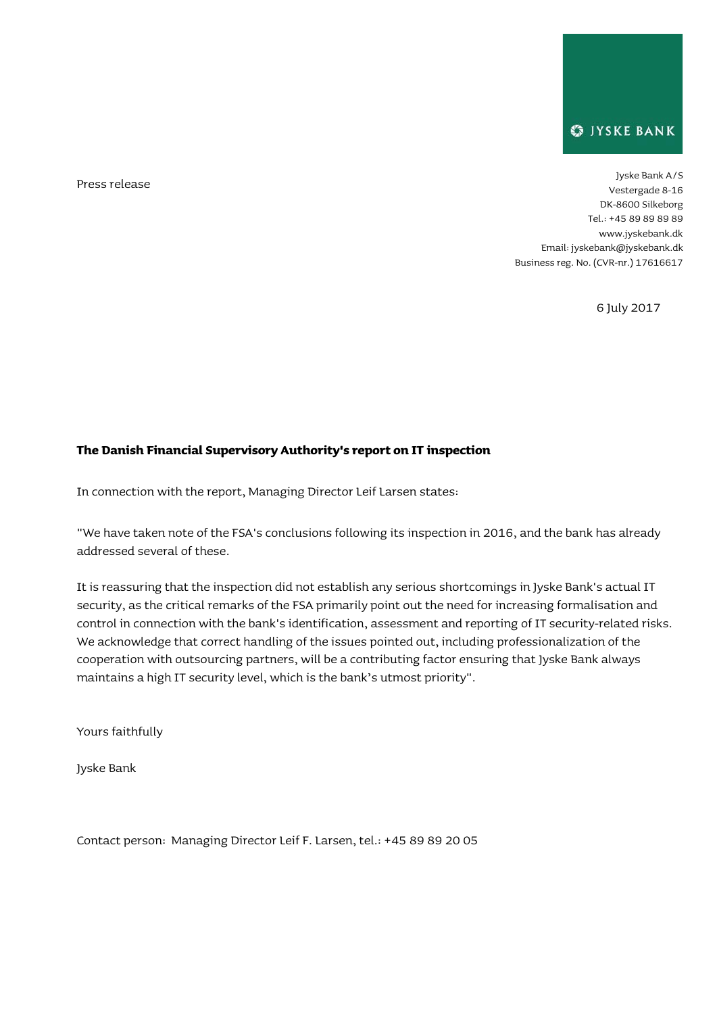

Press release Jyske Bank A/S Vestergade 8-16 DK-8600 Silkeborg Tel.: +45 89 89 89 89 [www.j](http://www/)yskebank.dk Email[: jyskebank@jyskebank.dk](mailto:jyskebank@jyskebank.dk) Business reg. No. (CVR-nr.) 17616617

6 July 2017

## **The Danish Financial Supervisory Authority's report on IT inspection**

In connection with the report, Managing Director Leif Larsen states:

"We have taken note of the FSA's conclusions following its inspection in 2016, and the bank has already addressed several of these.

It is reassuring that the inspection did not establish any serious shortcomings in Jyske Bank's actual IT security, as the critical remarks of the FSA primarily point out the need for increasing formalisation and control in connection with the bank's identification, assessment and reporting of IT security-related risks. We acknowledge that correct handling of the issues pointed out, including professionalization of the cooperation with outsourcing partners, will be a contributing factor ensuring that Jyske Bank always maintains a high IT security level, which is the bank's utmost priority".

Yours faithfully

Jyske Bank

Contact person: Managing Director Leif F. Larsen, tel.: +45 89 89 20 05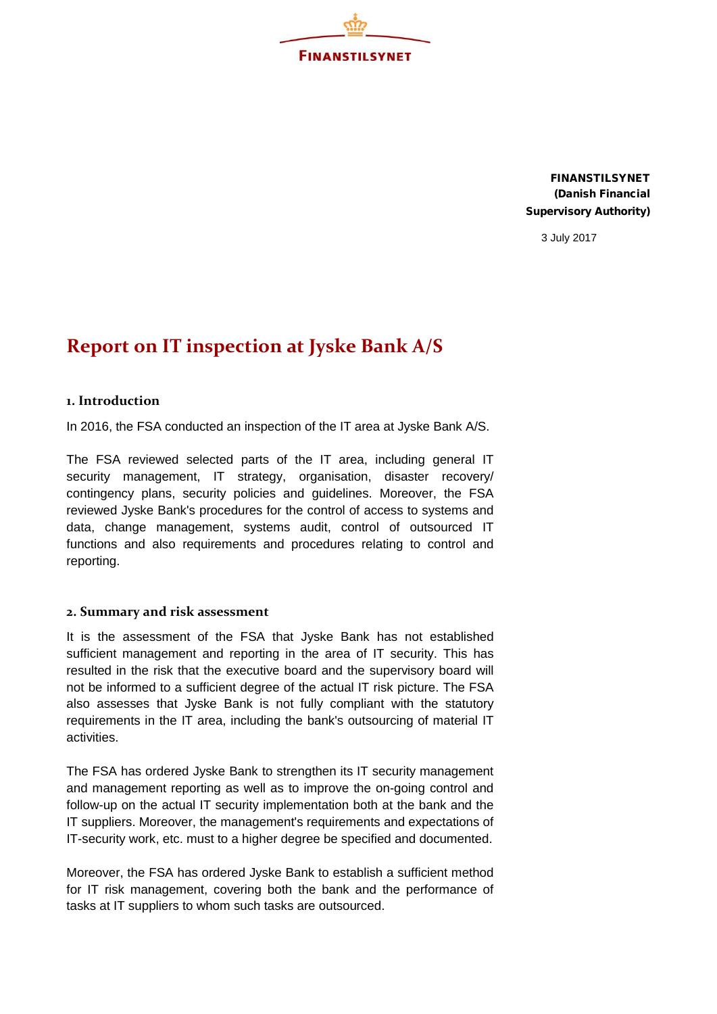

FINANSTILSYNET (Danish Financial Supervisory Authority)

3 July 2017

## **Report on IT inspection at Jyske Bank A/S**

## **1. Introduction**

In 2016, the FSA conducted an inspection of the IT area at Jyske Bank A/S.

The FSA reviewed selected parts of the IT area, including general IT security management, IT strategy, organisation, disaster recovery/ contingency plans, security policies and guidelines. Moreover, the FSA reviewed Jyske Bank's procedures for the control of access to systems and data, change management, systems audit, control of outsourced IT functions and also requirements and procedures relating to control and reporting.

## **2. Summary and risk assessment**

It is the assessment of the FSA that Jyske Bank has not established sufficient management and reporting in the area of IT security. This has resulted in the risk that the executive board and the supervisory board will not be informed to a sufficient degree of the actual IT risk picture. The FSA also assesses that Jyske Bank is not fully compliant with the statutory requirements in the IT area, including the bank's outsourcing of material IT activities.

The FSA has ordered Jyske Bank to strengthen its IT security management and management reporting as well as to improve the on-going control and follow-up on the actual IT security implementation both at the bank and the IT suppliers. Moreover, the management's requirements and expectations of IT-security work, etc. must to a higher degree be specified and documented.

Moreover, the FSA has ordered Jyske Bank to establish a sufficient method for IT risk management, covering both the bank and the performance of tasks at IT suppliers to whom such tasks are outsourced.